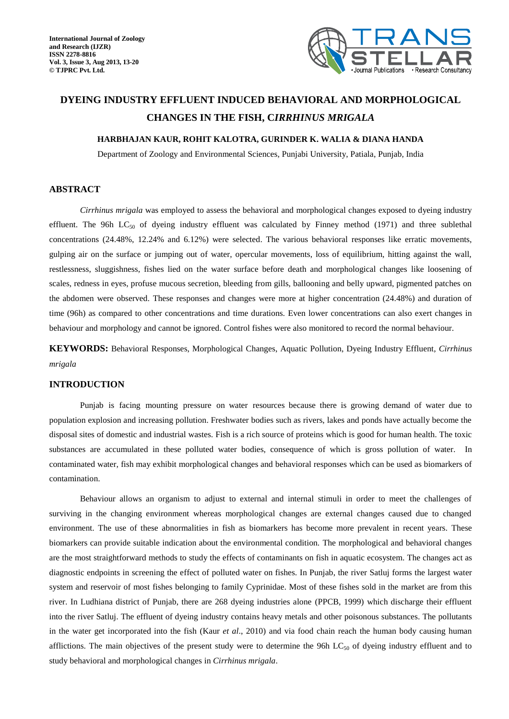

# **DYEING INDUSTRY EFFLUENT INDUCED BEHAVIORAL AND MORPHOLOGICAL CHANGES IN THE FISH, C***IRRHINUS MRIGALA*

### **HARBHAJAN KAUR, ROHIT KALOTRA, GURINDER K. WALIA & DIANA HANDA**

Department of Zoology and Environmental Sciences, Punjabi University, Patiala, Punjab, India

#### **ABSTRACT**

*Cirrhinus mrigala* was employed to assess the behavioral and morphological changes exposed to dyeing industry effluent. The 96h  $LC_{50}$  of dyeing industry effluent was calculated by Finney method (1971) and three sublethal concentrations (24.48%, 12.24% and 6.12%) were selected. The various behavioral responses like erratic movements, gulping air on the surface or jumping out of water, opercular movements, loss of equilibrium, hitting against the wall, restlessness, sluggishness, fishes lied on the water surface before death and morphological changes like loosening of scales, redness in eyes, profuse mucous secretion, bleeding from gills, ballooning and belly upward, pigmented patches on the abdomen were observed. These responses and changes were more at higher concentration (24.48%) and duration of time (96h) as compared to other concentrations and time durations. Even lower concentrations can also exert changes in behaviour and morphology and cannot be ignored. Control fishes were also monitored to record the normal behaviour.

**KEYWORDS:** Behavioral Responses, Morphological Changes, Aquatic Pollution, Dyeing Industry Effluent, *Cirrhinus mrigala*

#### **INTRODUCTION**

Punjab is facing mounting pressure on water resources because there is growing demand of water due to population explosion and increasing pollution. Freshwater bodies such as rivers, lakes and ponds have actually become the disposal sites of domestic and industrial wastes. Fish is a rich source of proteins which is good for human health. The toxic substances are accumulated in these polluted water bodies, consequence of which is gross pollution of water. In contaminated water, fish may exhibit morphological changes and behavioral responses which can be used as biomarkers of contamination.

Behaviour allows an organism to adjust to external and internal stimuli in order to meet the challenges of surviving in the changing environment whereas morphological changes are external changes caused due to changed environment. The use of these abnormalities in fish as biomarkers has become more prevalent in recent years. These biomarkers can provide suitable indication about the environmental condition. The morphological and behavioral changes are the most straightforward methods to study the effects of contaminants on fish in aquatic ecosystem. The changes act as diagnostic endpoints in screening the effect of polluted water on fishes. In Punjab, the river Satluj forms the largest water system and reservoir of most fishes belonging to family Cyprinidae. Most of these fishes sold in the market are from this river. In Ludhiana district of Punjab, there are 268 dyeing industries alone (PPCB, 1999) which discharge their effluent into the river Satluj. The effluent of dyeing industry contains heavy metals and other poisonous substances. The pollutants in the water get incorporated into the fish (Kaur *et al*., 2010) and via food chain reach the human body causing human afflictions. The main objectives of the present study were to determine the 96h  $LC_{50}$  of dyeing industry effluent and to study behavioral and morphological changes in *Cirrhinus mrigala*.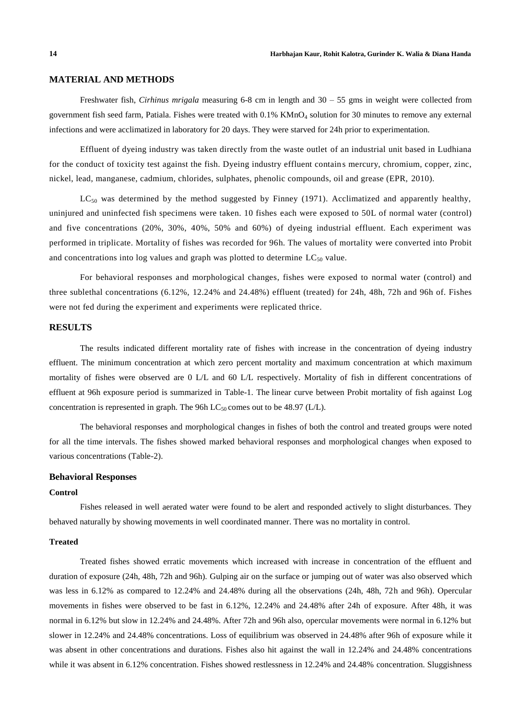### **MATERIAL AND METHODS**

Freshwater fish, *Cirhinus mrigala* measuring 6-8 cm in length and 30 – 55 gms in weight were collected from government fish seed farm, Patiala. Fishes were treated with 0.1% KMnO<sup>4</sup> solution for 30 minutes to remove any external infections and were acclimatized in laboratory for 20 days. They were starved for 24h prior to experimentation.

Effluent of dyeing industry was taken directly from the waste outlet of an industrial unit based in Ludhiana for the conduct of toxicity test against the fish. Dyeing industry effluent contain s mercury, chromium, copper, zinc, nickel, lead, manganese, cadmium, chlorides, sulphates, phenolic compounds, oil and grease (EPR, 2010).

 $LC_{50}$  was determined by the method suggested by Finney (1971). Acclimatized and apparently healthy, uninjured and uninfected fish specimens were taken. 10 fishes each were exposed to 50L of normal water (control) and five concentrations (20%, 30%, 40%, 50% and 60%) of dyeing industrial effluent. Each experiment was performed in triplicate. Mortality of fishes was recorded for 96h. The values of mortality were converted into Probit and concentrations into log values and graph was plotted to determine  $LC_{50}$  value.

For behavioral responses and morphological changes, fishes were exposed to normal water (control) and three sublethal concentrations (6.12%, 12.24% and 24.48%) effluent (treated) for 24h, 48h, 72h and 96h of. Fishes were not fed during the experiment and experiments were replicated thrice.

## **RESULTS**

The results indicated different mortality rate of fishes with increase in the concentration of dyeing industry effluent. The minimum concentration at which zero percent mortality and maximum concentration at which maximum mortality of fishes were observed are 0 L/L and 60 L/L respectively. Mortality of fish in different concentrations of effluent at 96h exposure period is summarized in Table-1. The linear curve between Probit mortality of fish against Log concentration is represented in graph. The 96h  $LC_{50}$  comes out to be 48.97 (L/L).

The behavioral responses and morphological changes in fishes of both the control and treated groups were noted for all the time intervals. The fishes showed marked behavioral responses and morphological changes when exposed to various concentrations (Table-2).

#### **Behavioral Responses**

#### **Control**

Fishes released in well aerated water were found to be alert and responded actively to slight disturbances. They behaved naturally by showing movements in well coordinated manner. There was no mortality in control.

#### **Treated**

Treated fishes showed erratic movements which increased with increase in concentration of the effluent and duration of exposure (24h, 48h, 72h and 96h). Gulping air on the surface or jumping out of water was also observed which was less in 6.12% as compared to 12.24% and 24.48% during all the observations (24h, 48h, 72h and 96h). Opercular movements in fishes were observed to be fast in 6.12%, 12.24% and 24.48% after 24h of exposure. After 48h, it was normal in 6.12% but slow in 12.24% and 24.48%. After 72h and 96h also, opercular movements were normal in 6.12% but slower in 12.24% and 24.48% concentrations. Loss of equilibrium was observed in 24.48% after 96h of exposure while it was absent in other concentrations and durations. Fishes also hit against the wall in 12.24% and 24.48% concentrations while it was absent in 6.12% concentration. Fishes showed restlessness in 12.24% and 24.48% concentration. Sluggishness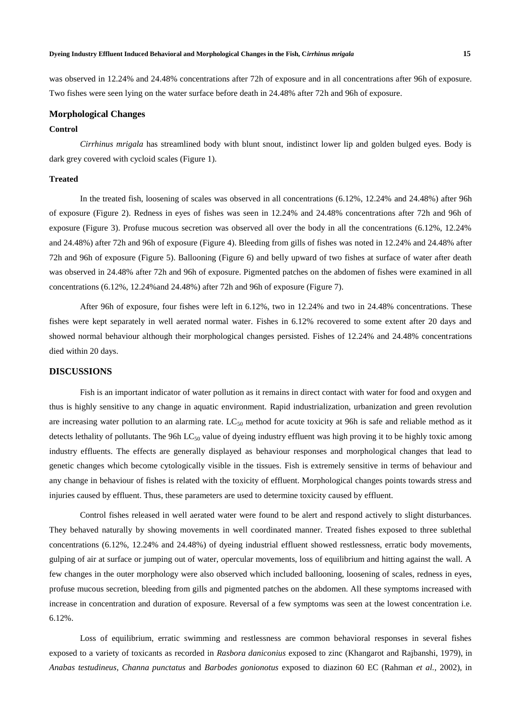#### **Dyeing Industry Effluent Induced Behavioral and Morphological Changes in the Fish, C***irrhinus mrigala* **15**

was observed in 12.24% and 24.48% concentrations after 72h of exposure and in all concentrations after 96h of exposure. Two fishes were seen lying on the water surface before death in 24.48% after 72h and 96h of exposure.

#### **Morphological Changes**

### **Control**

*Cirrhinus mrigala* has streamlined body with blunt snout, indistinct lower lip and golden bulged eyes. Body is dark grey covered with cycloid scales (Figure 1).

## **Treated**

In the treated fish, loosening of scales was observed in all concentrations (6.12%, 12.24% and 24.48%) after 96h of exposure (Figure 2). Redness in eyes of fishes was seen in 12.24% and 24.48% concentrations after 72h and 96h of exposure (Figure 3). Profuse mucous secretion was observed all over the body in all the concentrations (6.12%, 12.24% and 24.48%) after 72h and 96h of exposure (Figure 4). Bleeding from gills of fishes was noted in 12.24% and 24.48% after 72h and 96h of exposure (Figure 5). Ballooning (Figure 6) and belly upward of two fishes at surface of water after death was observed in 24.48% after 72h and 96h of exposure. Pigmented patches on the abdomen of fishes were examined in all concentrations (6.12%, 12.24%and 24.48%) after 72h and 96h of exposure (Figure 7).

After 96h of exposure, four fishes were left in 6.12%, two in 12.24% and two in 24.48% concentrations. These fishes were kept separately in well aerated normal water. Fishes in 6.12% recovered to some extent after 20 days and showed normal behaviour although their morphological changes persisted. Fishes of 12.24% and 24.48% concentrations died within 20 days.

#### **DISCUSSIONS**

Fish is an important indicator of water pollution as it remains in direct contact with water for food and oxygen and thus is highly sensitive to any change in aquatic environment. Rapid industrialization, urbanization and green revolution are increasing water pollution to an alarming rate.  $LC_{50}$  method for acute toxicity at 96h is safe and reliable method as it detects lethality of pollutants. The 96h  $LC_{50}$  value of dyeing industry effluent was high proving it to be highly toxic among industry effluents. The effects are generally displayed as behaviour responses and morphological changes that lead to genetic changes which become cytologically visible in the tissues. Fish is extremely sensitive in terms of behaviour and any change in behaviour of fishes is related with the toxicity of effluent. Morphological changes points towards stress and injuries caused by effluent. Thus, these parameters are used to determine toxicity caused by effluent.

Control fishes released in well aerated water were found to be alert and respond actively to slight disturbances. They behaved naturally by showing movements in well coordinated manner. Treated fishes exposed to three sublethal concentrations (6.12%, 12.24% and 24.48%) of dyeing industrial effluent showed restlessness, erratic body movements, gulping of air at surface or jumping out of water, opercular movements, loss of equilibrium and hitting against the wall. A few changes in the outer morphology were also observed which included ballooning, loosening of scales, redness in eyes, profuse mucous secretion, bleeding from gills and pigmented patches on the abdomen. All these symptoms increased with increase in concentration and duration of exposure. Reversal of a few symptoms was seen at the lowest concentration i.e. 6.12%.

Loss of equilibrium, erratic swimming and restlessness are common behavioral responses in several fishes exposed to a variety of toxicants as recorded in *Rasbora daniconius* exposed to zinc (Khangarot and Rajbanshi, 1979), in *Anabas testudineus*, *Channa punctatus* and *Barbodes gonionotus* exposed to diazinon 60 EC (Rahman *et al.*, 2002), in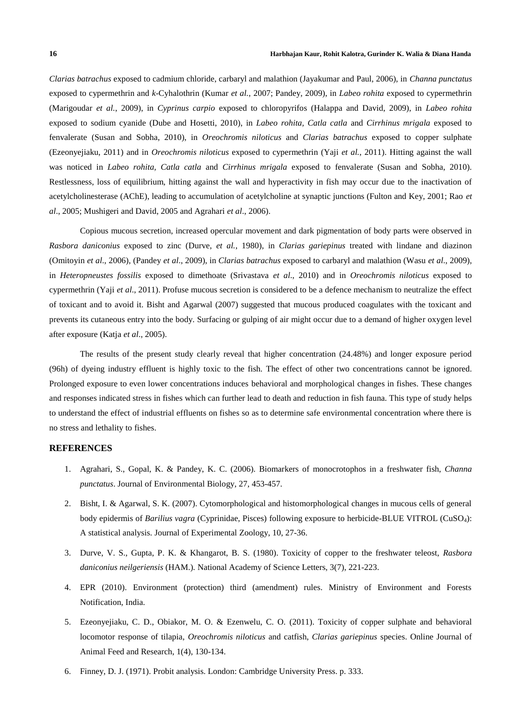*Clarias batrachus* exposed to cadmium chloride, carbaryl and malathion (Jayakumar and Paul, 2006), in *Channa punctatus* exposed to cypermethrin and *k*-Cyhalothrin (Kumar *et al.*, 2007; Pandey, 2009), in *Labeo rohita* exposed to cypermethrin (Marigoudar *et al.*, 2009), in *Cyprinus carpio* exposed to chloropyrifos (Halappa and David, 2009), in *Labeo rohita* exposed to sodium cyanide (Dube and Hosetti, 2010), in *Labeo rohita, Catla catla* and *Cirrhinus mrigala* exposed to fenvalerate (Susan and Sobha, 2010), in *Oreochromis niloticus* and *Clarias batrachus* exposed to copper sulphate (Ezeonyejiaku, 2011) and in *Oreochromis niloticus* exposed to cypermethrin (Yaji *et al.*, 2011). Hitting against the wall was noticed in *Labeo rohita, Catla catla* and *Cirrhinus mrigala* exposed to fenvalerate (Susan and Sobha, 2010). Restlessness, loss of equilibrium, hitting against the wall and hyperactivity in fish may occur due to the inactivation of acetylcholinesterase (AChE), leading to accumulation of acetylcholine at synaptic junctions (Fulton and Key, 2001; Rao *et al*., 2005; Mushigeri and David, 2005 and Agrahari *et al*., 2006).

Copious mucous secretion, increased opercular movement and dark pigmentation of body parts were observed in *Rasbora daniconius* exposed to zinc (Durve, *et al.*, 1980), in *Clarias gariepinus* treated with lindane and diazinon (Omitoyin *et al*., 2006), (Pandey *et al*., 2009), in *Clarias batrachus* exposed to carbaryl and malathion (Wasu *et al*., 2009), in *Heteropneustes fossilis* exposed to dimethoate (Srivastava *et al*., 2010) and in *Oreochromis niloticus* exposed to cypermethrin (Yaji *et al*., 2011). Profuse mucous secretion is considered to be a defence mechanism to neutralize the effect of toxicant and to avoid it. Bisht and Agarwal (2007) suggested that mucous produced coagulates with the toxicant and prevents its cutaneous entry into the body. Surfacing or gulping of air might occur due to a demand of higher oxygen level after exposure (Katja *et al*., 2005).

The results of the present study clearly reveal that higher concentration (24.48%) and longer exposure period (96h) of dyeing industry effluent is highly toxic to the fish. The effect of other two concentrations cannot be ignored. Prolonged exposure to even lower concentrations induces behavioral and morphological changes in fishes. These changes and responses indicated stress in fishes which can further lead to death and reduction in fish fauna. This type of study helps to understand the effect of industrial effluents on fishes so as to determine safe environmental concentration where there is no stress and lethality to fishes.

#### **REFERENCES**

- 1. Agrahari, S., Gopal, K. & Pandey, K. C. (2006). Biomarkers of monocrotophos in a freshwater fish, *Channa punctatus*. Journal of Environmental Biology, 27, 453-457.
- 2. Bisht, I. & Agarwal, S. K. (2007). Cytomorphological and histomorphological changes in mucous cells of general body epidermis of *Barilius vagra* (Cyprinidae, Pisces) following exposure to herbicide-BLUE VITROL (CuSO4): A statistical analysis. Journal of Experimental Zoology, 10, 27-36.
- 3. Durve, V. S., Gupta, P. K. & Khangarot, B. S. (1980). Toxicity of copper to the freshwater teleost, *Rasbora daniconius neilgeriensis* (HAM.)*.* National Academy of Science Letters, 3(7), 221-223.
- 4. EPR (2010). Environment (protection) third (amendment) rules. Ministry of Environment and Forests Notification, India.
- 5. Ezeonyejiaku, C. D., Obiakor, M. O. & Ezenwelu, C. O. (2011). Toxicity of copper sulphate and behavioral locomotor response of tilapia, *Oreochromis niloticus* and catfish, *Clarias gariepinus* species. Online Journal of Animal Feed and Research, 1(4), 130-134.
- 6. Finney, D. J. (1971). Probit analysis. London: Cambridge University Press. p. 333.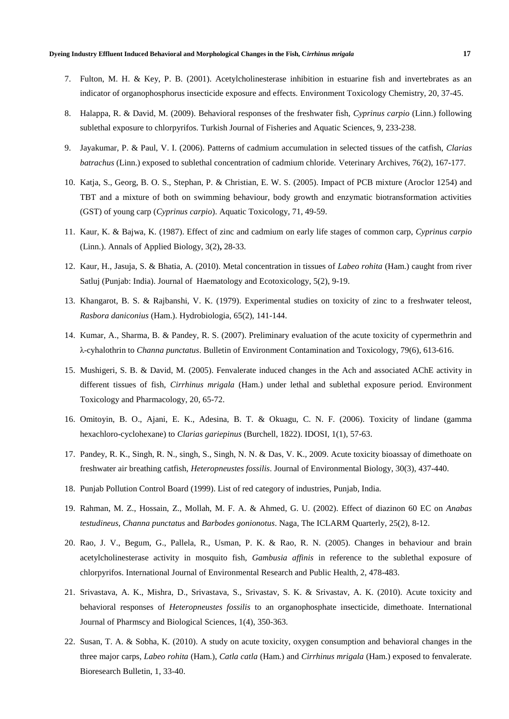- 7. Fulton, M. H. & Key, P. B. (2001). Acetylcholinesterase inhibition in estuarine fish and invertebrates as an indicator of organophosphorus insecticide exposure and effects. Environment Toxicology Chemistry, 20, 37-45.
- 8. Halappa, R. & David, M. (2009). Behavioral responses of the freshwater fish, *Cyprinus carpio* (Linn.) following sublethal exposure to chlorpyrifos. Turkish Journal of Fisheries and Aquatic Sciences, 9, 233-238.
- 9. Jayakumar, P. & Paul, V. I. (2006). Patterns of cadmium accumulation in selected tissues of the catfish, *Clarias batrachus* (Linn.) exposed to sublethal concentration of cadmium chloride. Veterinary Archives, 76(2), 167-177.
- 10. Katja, S., Georg, B. O. S., Stephan, P. & Christian, E. W. S. (2005). Impact of PCB mixture (Aroclor 1254) and TBT and a mixture of both on swimming behaviour, body growth and enzymatic biotransformation activities (GST) of young carp (*Cyprinus carpio*). Aquatic Toxicology, 71, 49-59.
- 11. Kaur, K. & Bajwa, K. (1987). Effect of zinc and cadmium on early life stages of common carp, *Cyprinus carpio* (Linn.). Annals of Applied Biology, 3(2)**,** 28-33.
- 12. Kaur, H., Jasuja, S. & Bhatia, A. (2010). Metal concentration in tissues of *Labeo rohita* (Ham.) caught from river Satluj (Punjab: India). Journal of Haematology and Ecotoxicology, 5(2), 9-19.
- 13. Khangarot, B. S. & Rajbanshi, V. K. (1979). Experimental studies on toxicity of zinc to a freshwater teleost, *Rasbora daniconius* (Ham.). Hydrobiologia, 65(2), 141-144.
- 14. Kumar, A., Sharma, B. & Pandey, R. S. (2007). Preliminary evaluation of the acute toxicity of cypermethrin and λ-cyhalothrin to *Channa punctatus*. Bulletin of Environment Contamination and Toxicology, 79(6), 613-616.
- 15. Mushigeri, S. B. & David, M. (2005). Fenvalerate induced changes in the Ach and associated AChE activity in different tissues of fish, *Cirrhinus mrigala* (Ham.) under lethal and sublethal exposure period. Environment Toxicology and Pharmacology, 20, 65-72.
- 16. Omitoyin, B. O., Ajani, E. K., Adesina, B. T. & Okuagu, C. N. F. (2006). Toxicity of lindane (gamma hexachloro-cyclohexane) to *Clarias gariepinus* (Burchell, 1822). IDOSI, 1(1), 57-63.
- 17. Pandey, R. K., Singh, R. N., singh, S., Singh, N. N. & Das, V. K., 2009. Acute toxicity bioassay of dimethoate on freshwater air breathing catfish, *Heteropneustes fossilis*. Journal of Environmental Biology, 30(3), 437-440.
- 18. Punjab Pollution Control Board (1999). List of red category of industries, Punjab, India.
- 19. Rahman, M. Z., Hossain, Z., Mollah, M. F. A. & Ahmed, G. U. (2002). Effect of diazinon 60 EC on *Anabas testudineus*, *Channa punctatus* and *Barbodes gonionotus*. Naga, The ICLARM Quarterly, 25(2), 8-12.
- 20. Rao, J. V., Begum, G., Pallela, R., Usman, P. K. & Rao, R. N. (2005). Changes in behaviour and brain acetylcholinesterase activity in mosquito fish, *Gambusia affinis* in reference to the sublethal exposure of chlorpyrifos. International Journal of Environmental Research and Public Health, 2, 478-483.
- 21. Srivastava, A. K., Mishra, D., Srivastava, S., Srivastav, S. K. & Srivastav, A. K. (2010). Acute toxicity and behavioral responses of *Heteropneustes fossilis* to an organophosphate insecticide, dimethoate. International Journal of Pharmscy and Biological Sciences, 1(4), 350-363.
- 22. Susan, T. A. & Sobha, K. (2010). A study on acute toxicity, oxygen consumption and behavioral changes in the three major carps, *Labeo rohita* (Ham.), *Catla catla* (Ham.) and *Cirrhinus mrigala* (Ham.) exposed to fenvalerate. Bioresearch Bulletin, 1, 33-40.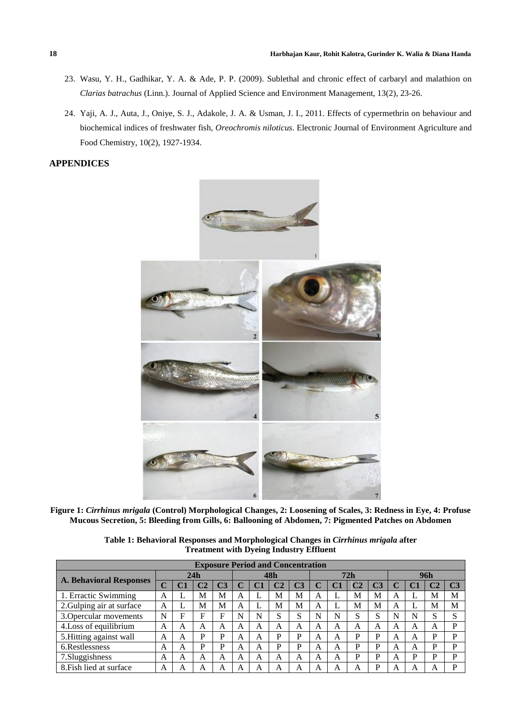- 23. Wasu, Y. H., Gadhikar, Y. A. & Ade, P. P. (2009). Sublethal and chronic effect of carbaryl and malathion on *Clarias batrachus* (Linn.). Journal of Applied Science and Environment Management, 13(2), 23-26.
- 24. Yaji, A. J., Auta, J., Oniye, S. J., Adakole, J. A. & Usman, J. I., 2011. Effects of cypermethrin on behaviour and biochemical indices of freshwater fish, *Oreochromis niloticus*. Electronic Journal of Environment Agriculture and Food Chemistry, 10(2), 1927-1934.

# **APPENDICES**



**Figure 1:** *Cirrhinus mrigala* **(Control) Morphological Changes, 2: Loosening of Scales, 3: Redness in Eye, 4: Profuse Mucous Secretion, 5: Bleeding from Gills, 6: Ballooning of Abdomen, 7: Pigmented Patches on Abdomen**

**Table 1: Behavioral Responses and Morphological Changes in** *Cirrhinus mrigala* **after Treatment with Dyeing Industry Effluent**

| <b>Exposure Period and Concentration</b> |                   |    |   |    |     |   |         |                |     |    |   |    |     |    |   |                |
|------------------------------------------|-------------------|----|---|----|-----|---|---------|----------------|-----|----|---|----|-----|----|---|----------------|
| <b>A. Behavioral Responses</b>           | 24h               |    |   |    | 48h |   |         |                | 72h |    |   |    | 96h |    |   |                |
|                                          | $\mathbf{\Omega}$ | C1 |   | C3 |     |   |         | C <sub>3</sub> | C   | C1 |   | C3 |     | C1 |   | C <sub>3</sub> |
| 1. Erractic Swimming                     | A                 |    | M | M  | A   |   | M       | М              | A   |    | M | М  | A   |    | M | M              |
| 2. Gulping air at surface                | A                 |    | M | M  | A   |   | M       | M              | A   |    | M | M  | A   |    | М | M              |
| 3. Opercular movements                   | N                 | F  | F | F  | N   | N | a<br>G. | S              | N   | N  | S | S  | N   | N  | S | c              |
| 4. Loss of equilibrium                   | А                 | A  | А | А  | A   | A | A       | А              | А   | A  | А | А  | А   | А  | А | D              |
| 5. Hitting against wall                  | A                 | A  | P | P  | A   | A | D       | P              | A   | A  | P | D  | A   | A  | D | D              |
| 6. Restlessness                          | А                 | A  | P | P  | A   | A | D       | P              | A   | A  | P | D  | А   | A  | D | D              |
| 7.Sluggishness                           | A                 | A  | A | A  | A   | A | A       | A              | A   | A  | P | D  | A   | D  | D | D              |
| 8. Fish lied at surface                  | A                 | A  | A | А  | A   | А | A       | А              | A   | А  | А | D  | А   | Α  |   | D              |